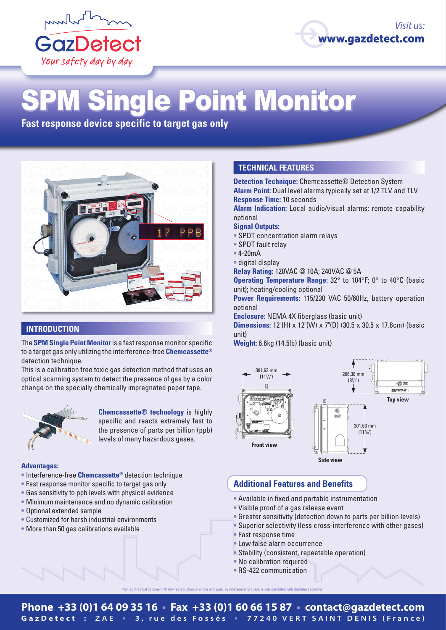



# **ingle Point Monitor**

**Fast response device specific to target gas only**



# **INTRODUCTION**

The **SPM Single Point Monitor** is a fast response monitor specific to a target gas only utilizing the interference-free **Chemcassette®** detection technique.

This is a calibration free toxic gas detection method that uses an optical scanning system to detect the presence of gas by a color change on the specially chemically impregnated paper tape.



**Chemcassette® technology** is highly specific and reacts extremely fast to the presence of parts per billion (ppb) levels of many hazardous gases.

#### **Advantages:**

- **•** Interference-free **Chemcassette®** detection technique
- **•** Fast response monitor specific to target gas only
- **•** Gas sensitivity to ppb levels with physical evidence
- **•** Minimum maintenance and no dynamic calibration
- **•** Optional extended sample
- **•** Customized for harsh industrial environments
- **•** More than 50 gas calibrations available

## **TECHNICAL FEATURES**

**Detection Technique:** Chemcassette® Detection System **Alarm Point:** Dual level alarms typically set at 1/2 TLV and TLV **Response Time:** 10 seconds

**Alarm Indication:** Local audio/visual alarms; remote capability optional

#### **Signal Outputs:**

- **•** SPDT concentration alarm relays
- **•** SPDT fault relay
- **•** 4-20mA
- **•** digital display

**Relay Rating:** 120VAC @ 10A; 240VAC @ 5A

**Operating Temperature Range:** 32° to 104°F; 0° to 40°C (basic unit); heating/cooling optional

**Power Requirements:** 115/230 VAC 50/60Hz, battery operation optional

**Enclosure:** NEMA 4X fiberglass (basic unit)

**Dimensions:** 12"(H) x 12"(W) x 7"(D) (30.5 x 30.5 x 17.8cm) (basic unit)

**Weight:** 6.6kg (14.5lb) (basic unit)



### **Additional Features and Benefits**

- **•** Available in fixed and portable instrumentation
- **•** Visible proof of a gas release event
- **•** Greater sensitivity (detection down to parts per billion levels)
- **•** Superior selectivity (less cross-interference with other gases)
- **•** Fast response time
- **•** Low false alarm occurrence
- **•** Stability (consistent, repeatable operation)
- **•** No calibration required
- **•** RS-422 communication

Non-contractual document. © Any reproduction, in whole or in part, by whatsoever process, is only permitted with Gazdetect approval.

## **Phone +33 (0)1 64 09 35 16 • Fax +33 (0)1 60 66 15 87 • contact@gazdetect.com GazDetect : ZAE • 3, rue des Fossés • 77240 VERT SAINT DENIS (France)**